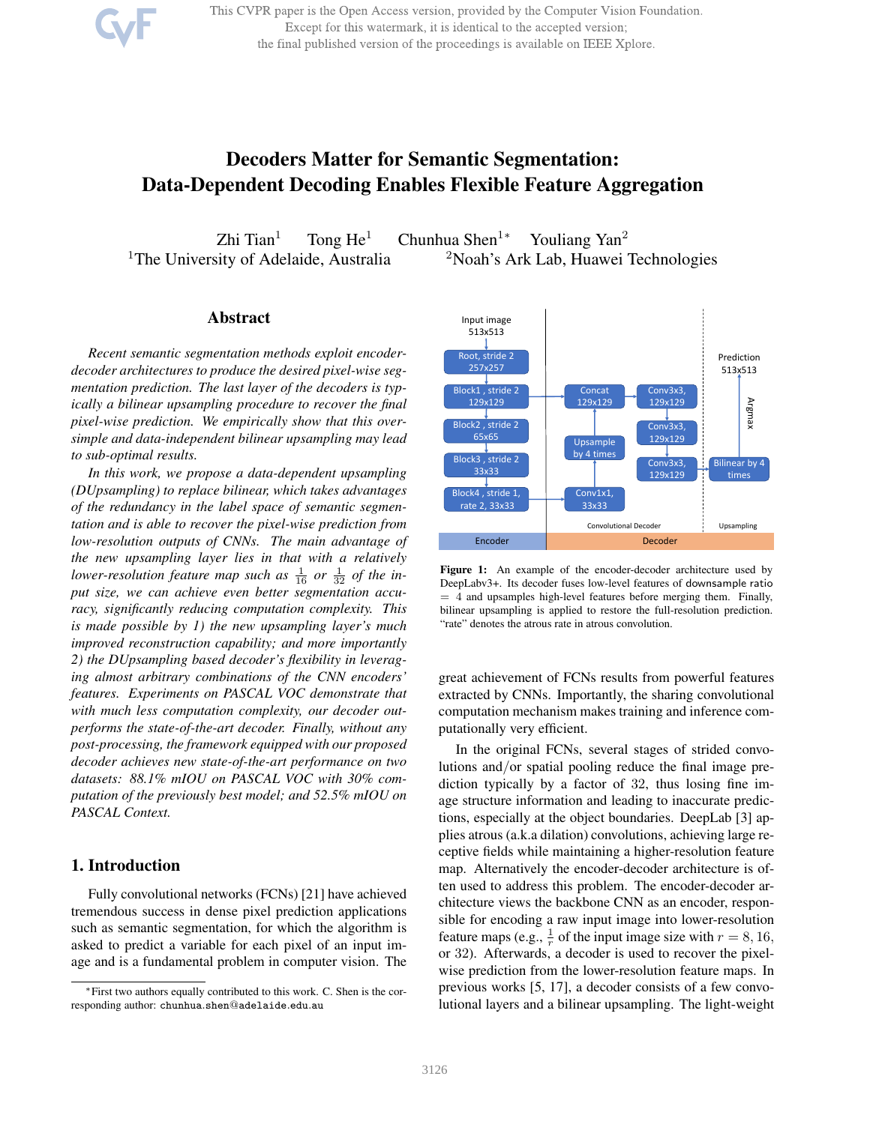This CVPR paper is the Open Access version, provided by the Computer Vision Foundation. Except for this watermark, it is identical to the accepted version; the final published version of the proceedings is available on IEEE Xplore.

# Decoders Matter for Semantic Segmentation: Data-Dependent Decoding Enables Flexible Feature Aggregation

Zhi Tian<sup>1</sup> Tong He<sup>1</sup> Chunhua Shen<sup>1</sup>\* Youliang Yan<sup>2</sup> <sup>1</sup>The University of Adelaide, Australia  $\frac{2N \cdot N}{N}$  and  $\frac{2N \cdot N}{N}$  and  $\frac{2N \cdot N}{N}$  and  $\frac{2N \cdot N}{N}$  and  $\frac{2N \cdot N}{N}$  and  $\frac{2N \cdot N}{N}$  and  $\frac{2N \cdot N}{N}$  and  $\frac{2N \cdot N}{N}$  and  $\frac{2N \cdot N}{N}$  and  $\frac{2N \cdot N}{N}$  and

# Abstract

*Recent semantic segmentation methods exploit encoderdecoder architectures to produce the desired pixel-wise segmentation prediction. The last layer of the decoders is typically a bilinear upsampling procedure to recover the final pixel-wise prediction. We empirically show that this oversimple and data-independent bilinear upsampling may lead to sub-optimal results.*

*In this work, we propose a data-dependent upsampling (DUpsampling) to replace bilinear, which takes advantages of the redundancy in the label space of semantic segmentation and is able to recover the pixel-wise prediction from low-resolution outputs of CNNs. The main advantage of the new upsampling layer lies in that with a relatively* lower-resolution feature map such as  $\frac{1}{16}$  or  $\frac{1}{32}$  of the in*put size, we can achieve even better segmentation accuracy, significantly reducing computation complexity. This is made possible by 1) the new upsampling layer's much improved reconstruction capability; and more importantly 2) the DUpsampling based decoder's flexibility in leveraging almost arbitrary combinations of the CNN encoders' features. Experiments on PASCAL VOC demonstrate that with much less computation complexity, our decoder outperforms the state-of-the-art decoder. Finally, without any post-processing, the framework equipped with our proposed decoder achieves new state-of-the-art performance on two datasets: 88.1% mIOU on PASCAL VOC with 30% computation of the previously best model; and 52.5% mIOU on PASCAL Context.*

# 1. Introduction

Fully convolutional networks (FCNs) [21] have achieved tremendous success in dense pixel prediction applications such as semantic segmentation, for which the algorithm is asked to predict a variable for each pixel of an input image and is a fundamental problem in computer vision. The



Figure 1: An example of the encoder-decoder architecture used by DeepLabv3+. Its decoder fuses low-level features of downsample ratio  $= 4$  and upsamples high-level features before merging them. Finally, bilinear upsampling is applied to restore the full-resolution prediction. "rate" denotes the atrous rate in atrous convolution.

great achievement of FCNs results from powerful features extracted by CNNs. Importantly, the sharing convolutional computation mechanism makes training and inference computationally very efficient.

In the original FCNs, several stages of strided convolutions and/or spatial pooling reduce the final image prediction typically by a factor of 32, thus losing fine image structure information and leading to inaccurate predictions, especially at the object boundaries. DeepLab [3] applies atrous (a.k.a dilation) convolutions, achieving large receptive fields while maintaining a higher-resolution feature map. Alternatively the encoder-decoder architecture is often used to address this problem. The encoder-decoder architecture views the backbone CNN as an encoder, responsible for encoding a raw input image into lower-resolution feature maps (e.g.,  $\frac{1}{r}$  of the input image size with  $r = 8, 16$ , or 32). Afterwards, a decoder is used to recover the pixelwise prediction from the lower-resolution feature maps. In previous works [5, 17], a decoder consists of a few convolutional layers and a bilinear upsampling. The light-weight

<sup>∗</sup>First two authors equally contributed to this work. C. Shen is the corresponding author: chunhua.shen@adelaide.edu.au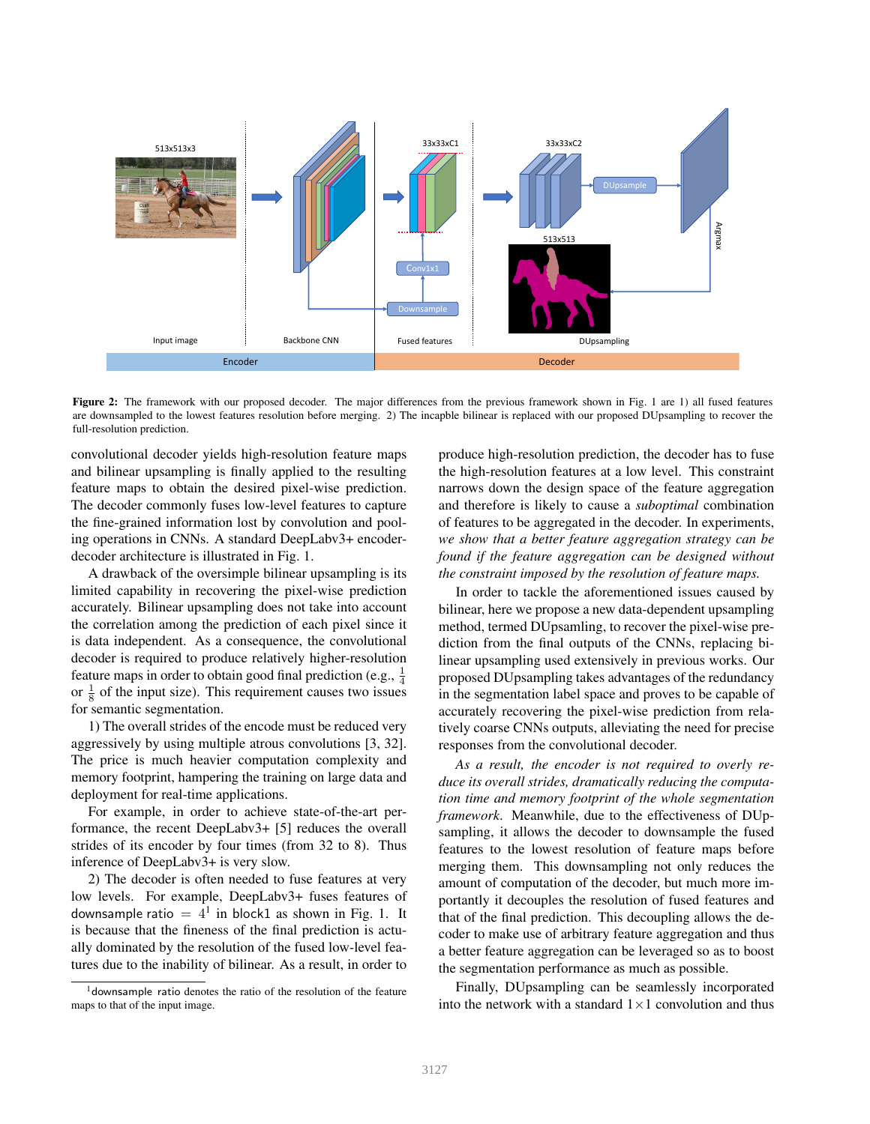

Figure 2: The framework with our proposed decoder. The major differences from the previous framework shown in Fig. 1 are 1) all fused features are downsampled to the lowest features resolution before merging. 2) The incapble bilinear is replaced with our proposed DUpsampling to recover the full-resolution prediction.

convolutional decoder yields high-resolution feature maps and bilinear upsampling is finally applied to the resulting feature maps to obtain the desired pixel-wise prediction. The decoder commonly fuses low-level features to capture the fine-grained information lost by convolution and pooling operations in CNNs. A standard DeepLabv3+ encoderdecoder architecture is illustrated in Fig. 1.

A drawback of the oversimple bilinear upsampling is its limited capability in recovering the pixel-wise prediction accurately. Bilinear upsampling does not take into account the correlation among the prediction of each pixel since it is data independent. As a consequence, the convolutional decoder is required to produce relatively higher-resolution feature maps in order to obtain good final prediction (e.g.,  $\frac{1}{4}$ ) or  $\frac{1}{8}$  of the input size). This requirement causes two issues for semantic segmentation.

1) The overall strides of the encode must be reduced very aggressively by using multiple atrous convolutions [3, 32]. The price is much heavier computation complexity and memory footprint, hampering the training on large data and deployment for real-time applications.

For example, in order to achieve state-of-the-art performance, the recent DeepLabv3+ [5] reduces the overall strides of its encoder by four times (from 32 to 8). Thus inference of DeepLabv3+ is very slow.

2) The decoder is often needed to fuse features at very low levels. For example, DeepLabv3+ fuses features of downsample ratio  $= 4<sup>1</sup>$  in block1 as shown in Fig. 1. It is because that the fineness of the final prediction is actually dominated by the resolution of the fused low-level features due to the inability of bilinear. As a result, in order to

produce high-resolution prediction, the decoder has to fuse the high-resolution features at a low level. This constraint narrows down the design space of the feature aggregation and therefore is likely to cause a *suboptimal* combination of features to be aggregated in the decoder. In experiments, *we show that a better feature aggregation strategy can be found if the feature aggregation can be designed without the constraint imposed by the resolution of feature maps.*

In order to tackle the aforementioned issues caused by bilinear, here we propose a new data-dependent upsampling method, termed DUpsamling, to recover the pixel-wise prediction from the final outputs of the CNNs, replacing bilinear upsampling used extensively in previous works. Our proposed DUpsampling takes advantages of the redundancy in the segmentation label space and proves to be capable of accurately recovering the pixel-wise prediction from relatively coarse CNNs outputs, alleviating the need for precise responses from the convolutional decoder.

*As a result, the encoder is not required to overly reduce its overall strides, dramatically reducing the computation time and memory footprint of the whole segmentation framework*. Meanwhile, due to the effectiveness of DUpsampling, it allows the decoder to downsample the fused features to the lowest resolution of feature maps before merging them. This downsampling not only reduces the amount of computation of the decoder, but much more importantly it decouples the resolution of fused features and that of the final prediction. This decoupling allows the decoder to make use of arbitrary feature aggregation and thus a better feature aggregation can be leveraged so as to boost the segmentation performance as much as possible.

Finally, DUpsampling can be seamlessly incorporated into the network with a standard  $1\times1$  convolution and thus

<sup>&</sup>lt;sup>1</sup>downsample ratio denotes the ratio of the resolution of the feature maps to that of the input image.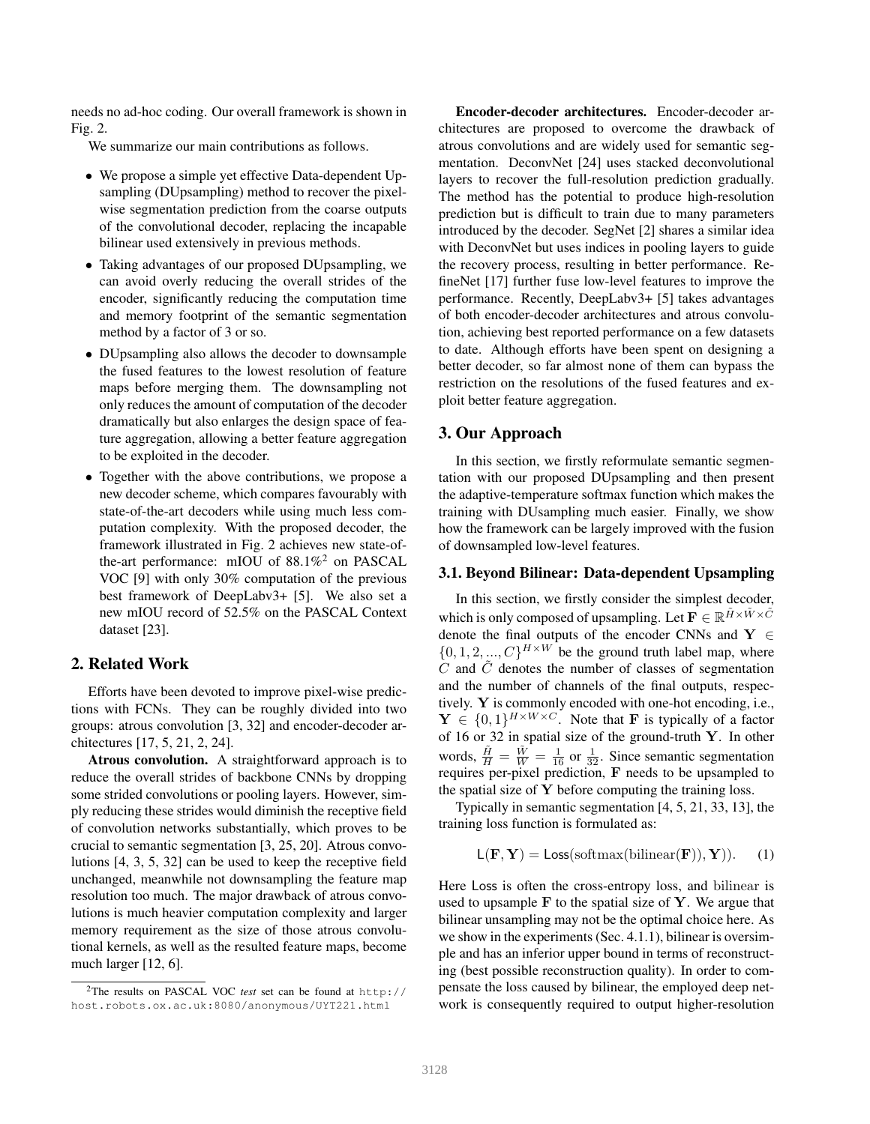needs no ad-hoc coding. Our overall framework is shown in Fig. 2.

We summarize our main contributions as follows.

- We propose a simple yet effective Data-dependent Upsampling (DUpsampling) method to recover the pixelwise segmentation prediction from the coarse outputs of the convolutional decoder, replacing the incapable bilinear used extensively in previous methods.
- Taking advantages of our proposed DUpsampling, we can avoid overly reducing the overall strides of the encoder, significantly reducing the computation time and memory footprint of the semantic segmentation method by a factor of 3 or so.
- DUpsampling also allows the decoder to downsample the fused features to the lowest resolution of feature maps before merging them. The downsampling not only reduces the amount of computation of the decoder dramatically but also enlarges the design space of feature aggregation, allowing a better feature aggregation to be exploited in the decoder.
- Together with the above contributions, we propose a new decoder scheme, which compares favourably with state-of-the-art decoders while using much less computation complexity. With the proposed decoder, the framework illustrated in Fig. 2 achieves new state-ofthe-art performance: mIOU of 88.1%<sup>2</sup> on PASCAL VOC [9] with only 30% computation of the previous best framework of DeepLabv3+ [5]. We also set a new mIOU record of 52.5% on the PASCAL Context dataset [23].

# 2. Related Work

Efforts have been devoted to improve pixel-wise predictions with FCNs. They can be roughly divided into two groups: atrous convolution [3, 32] and encoder-decoder architectures [17, 5, 21, 2, 24].

Atrous convolution. A straightforward approach is to reduce the overall strides of backbone CNNs by dropping some strided convolutions or pooling layers. However, simply reducing these strides would diminish the receptive field of convolution networks substantially, which proves to be crucial to semantic segmentation [3, 25, 20]. Atrous convolutions [4, 3, 5, 32] can be used to keep the receptive field unchanged, meanwhile not downsampling the feature map resolution too much. The major drawback of atrous convolutions is much heavier computation complexity and larger memory requirement as the size of those atrous convolutional kernels, as well as the resulted feature maps, become much larger [12, 6].

Encoder-decoder architectures. Encoder-decoder architectures are proposed to overcome the drawback of atrous convolutions and are widely used for semantic segmentation. DeconvNet [24] uses stacked deconvolutional layers to recover the full-resolution prediction gradually. The method has the potential to produce high-resolution prediction but is difficult to train due to many parameters introduced by the decoder. SegNet [2] shares a similar idea with DeconvNet but uses indices in pooling layers to guide the recovery process, resulting in better performance. RefineNet [17] further fuse low-level features to improve the performance. Recently, DeepLabv3+ [5] takes advantages of both encoder-decoder architectures and atrous convolution, achieving best reported performance on a few datasets to date. Although efforts have been spent on designing a better decoder, so far almost none of them can bypass the restriction on the resolutions of the fused features and exploit better feature aggregation.

## 3. Our Approach

In this section, we firstly reformulate semantic segmentation with our proposed DUpsampling and then present the adaptive-temperature softmax function which makes the training with DUsampling much easier. Finally, we show how the framework can be largely improved with the fusion of downsampled low-level features.

#### 3.1. Beyond Bilinear: Data-dependent Upsampling

In this section, we firstly consider the simplest decoder, which is only composed of upsampling. Let  $\mathbf{F} \in \mathbb{R}^{\tilde{H} \times \tilde{W} \times \tilde{C}}$ denote the final outputs of the encoder CNNs and  $Y \in$  $\{0, 1, 2, ..., C\}^{H \times W}$  be the ground truth label map, where  $C$  and  $C$  denotes the number of classes of segmentation and the number of channels of the final outputs, respectively. Y is commonly encoded with one-hot encoding, i.e.,  $\mathbf{Y} \in \{0,1\}^{H \times W \times C}$ . Note that **F** is typically of a factor of 16 or 32 in spatial size of the ground-truth Y. In other words,  $\frac{\tilde{H}}{H} = \frac{\tilde{W}}{W} = \frac{1}{16}$  or  $\frac{1}{32}$ . Since semantic segmentation requires per-pixel prediction, F needs to be upsampled to the spatial size of  $Y$  before computing the training loss.

Typically in semantic segmentation [4, 5, 21, 33, 13], the training loss function is formulated as:

$$
L(\mathbf{F}, \mathbf{Y}) = Loss(softmax(bilinear(\mathbf{F})), \mathbf{Y})).
$$
 (1)

Here Loss is often the cross-entropy loss, and bilinear is used to upsample  $F$  to the spatial size of  $Y$ . We argue that bilinear unsampling may not be the optimal choice here. As we show in the experiments (Sec. 4.1.1), bilinear is oversimple and has an inferior upper bound in terms of reconstructing (best possible reconstruction quality). In order to compensate the loss caused by bilinear, the employed deep network is consequently required to output higher-resolution

<sup>2</sup>The results on PASCAL VOC *test* set can be found at http:// host.robots.ox.ac.uk:8080/anonymous/UYT221.html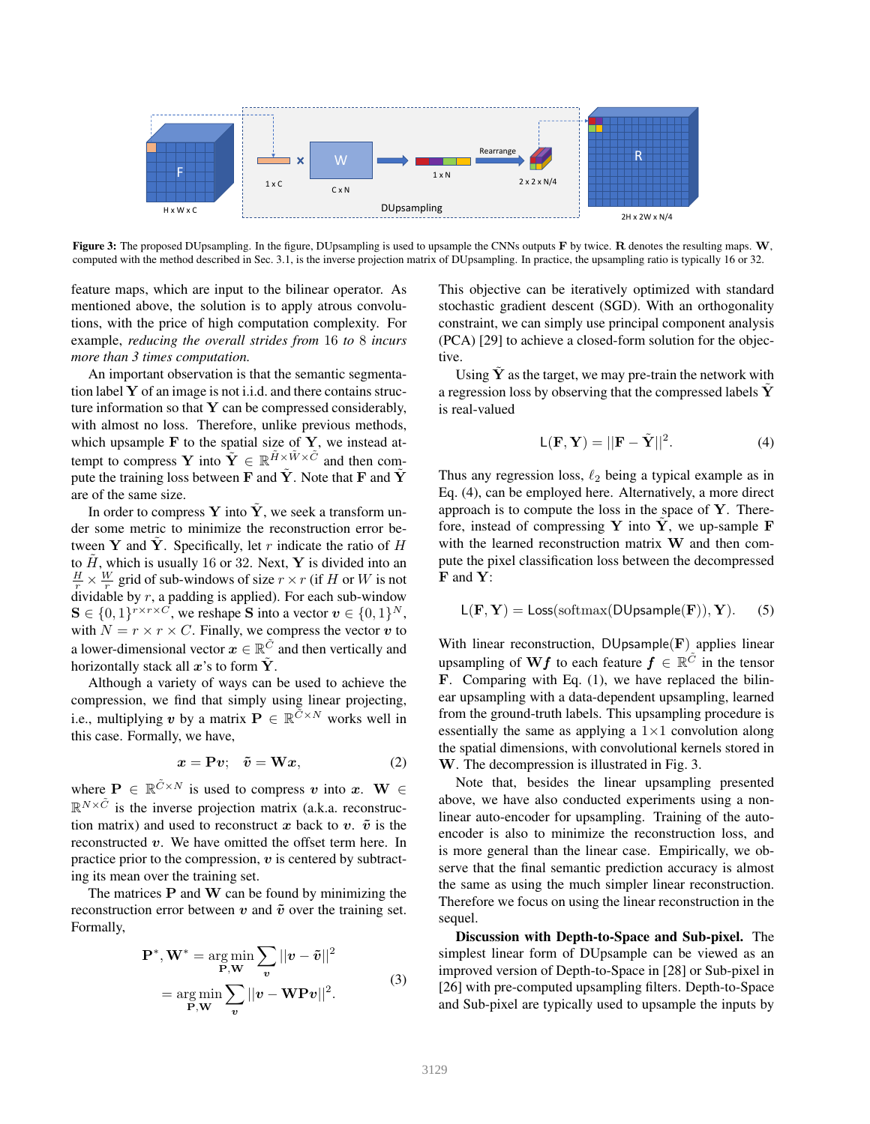

Figure 3: The proposed DUpsampling. In the figure, DUpsampling is used to upsample the CNNs outputs  $F$  by twice. R denotes the resulting maps.  $W$ , computed with the method described in Sec. 3.1, is the inverse projection matrix of DUpsampling. In practice, the upsampling ratio is typically 16 or 32.

feature maps, which are input to the bilinear operator. As mentioned above, the solution is to apply atrous convolutions, with the price of high computation complexity. For example, *reducing the overall strides from* 16 *to* 8 *incurs more than 3 times computation.*

An important observation is that the semantic segmentation label  $Y$  of an image is not i.i.d. and there contains structure information so that  $Y$  can be compressed considerably, with almost no loss. Therefore, unlike previous methods, which upsample  $\bf{F}$  to the spatial size of  $\bf{Y}$ , we instead attempt to compress Y into  $\tilde{Y} \in \mathbb{R}^{\tilde{H} \times \tilde{W} \times \tilde{C}}$  and then compute the training loss between F and  $\tilde{Y}$ . Note that F and  $\tilde{Y}$ are of the same size.

In order to compress Y into  $\tilde{Y}$ , we seek a transform under some metric to minimize the reconstruction error between Y and Y. Specifically, let r indicate the ratio of  $H$ to  $\tilde{H}$ , which is usually 16 or 32. Next, Y is divided into an  $\frac{H}{r} \times \frac{W}{r}$  grid of sub-windows of size  $r \times r$  (if H or W is not dividable by  $r$ , a padding is applied). For each sub-window  $S \in \{0,1\}^{r \times r \times C}$ , we reshape S into a vector  $v \in \{0,1\}^N$ , with  $N = r \times r \times C$ . Finally, we compress the vector v to a lower-dimensional vector  $\mathbf{x} \in \mathbb{R}^{\tilde{C}}$  and then vertically and horizontally stack all  $x$ 's to form  $\hat{Y}$ .

Although a variety of ways can be used to achieve the compression, we find that simply using linear projecting, i.e., multiplying v by a matrix  $\mathbf{P} \in \mathbb{R}^{\widetilde{C} \times N}$  works well in this case. Formally, we have,

$$
x = \mathbf{P}v; \quad \tilde{v} = \mathbf{W}x,\tag{2}
$$

where  $\mathbf{P} \in \mathbb{R}^{\tilde{C} \times N}$  is used to compress v into  $x$ .  $\mathbf{W} \in$  $\mathbb{R}^{N \times \tilde{C}}$  is the inverse projection matrix (a.k.a. reconstruction matrix) and used to reconstruct x back to v.  $\tilde{v}$  is the reconstructed  $v$ . We have omitted the offset term here. In practice prior to the compression,  $v$  is centered by subtracting its mean over the training set.

The matrices  $P$  and  $W$  can be found by minimizing the reconstruction error between v and  $\tilde{v}$  over the training set. Formally,

$$
\mathbf{P}^*, \mathbf{W}^* = \underset{\mathbf{P}, \mathbf{W}}{\arg \min} \sum_{\mathbf{v}} ||\mathbf{v} - \tilde{\mathbf{v}}||^2
$$
  
= 
$$
\underset{\mathbf{P}, \mathbf{W}}{\arg \min} \sum_{\mathbf{v}} ||\mathbf{v} - \mathbf{W} \mathbf{P} \mathbf{v}||^2.
$$
 (3)

This objective can be iteratively optimized with standard stochastic gradient descent (SGD). With an orthogonality constraint, we can simply use principal component analysis (PCA) [29] to achieve a closed-form solution for the objective.

Using  $Y$  as the target, we may pre-train the network with a regression loss by observing that the compressed labels Y˜ is real-valued

$$
L(\mathbf{F}, \mathbf{Y}) = ||\mathbf{F} - \tilde{\mathbf{Y}}||^2.
$$
 (4)

Thus any regression loss,  $\ell_2$  being a typical example as in Eq. (4), can be employed here. Alternatively, a more direct approach is to compute the loss in the space of  $Y$ . Therefore, instead of compressing Y into Y, we up-sample  $F$ with the learned reconstruction matrix W and then compute the pixel classification loss between the decompressed F and Y:

$$
L(\mathbf{F}, \mathbf{Y}) = Loss(softmax(DUpsample(\mathbf{F})), \mathbf{Y}).
$$
 (5)

With linear reconstruction,  $DUpsample(\mathbf{F})$  applies linear upsampling of  $\mathbf{W} \boldsymbol{f}$  to each feature  $\boldsymbol{f} \in \mathbb{R}^{\tilde{C}}$  in the tensor F. Comparing with Eq. (1), we have replaced the bilinear upsampling with a data-dependent upsampling, learned from the ground-truth labels. This upsampling procedure is essentially the same as applying a  $1\times1$  convolution along the spatial dimensions, with convolutional kernels stored in W. The decompression is illustrated in Fig. 3.

Note that, besides the linear upsampling presented above, we have also conducted experiments using a nonlinear auto-encoder for upsampling. Training of the autoencoder is also to minimize the reconstruction loss, and is more general than the linear case. Empirically, we observe that the final semantic prediction accuracy is almost the same as using the much simpler linear reconstruction. Therefore we focus on using the linear reconstruction in the sequel.

Discussion with Depth-to-Space and Sub-pixel. The simplest linear form of DUpsample can be viewed as an improved version of Depth-to-Space in [28] or Sub-pixel in [26] with pre-computed upsampling filters. Depth-to-Space and Sub-pixel are typically used to upsample the inputs by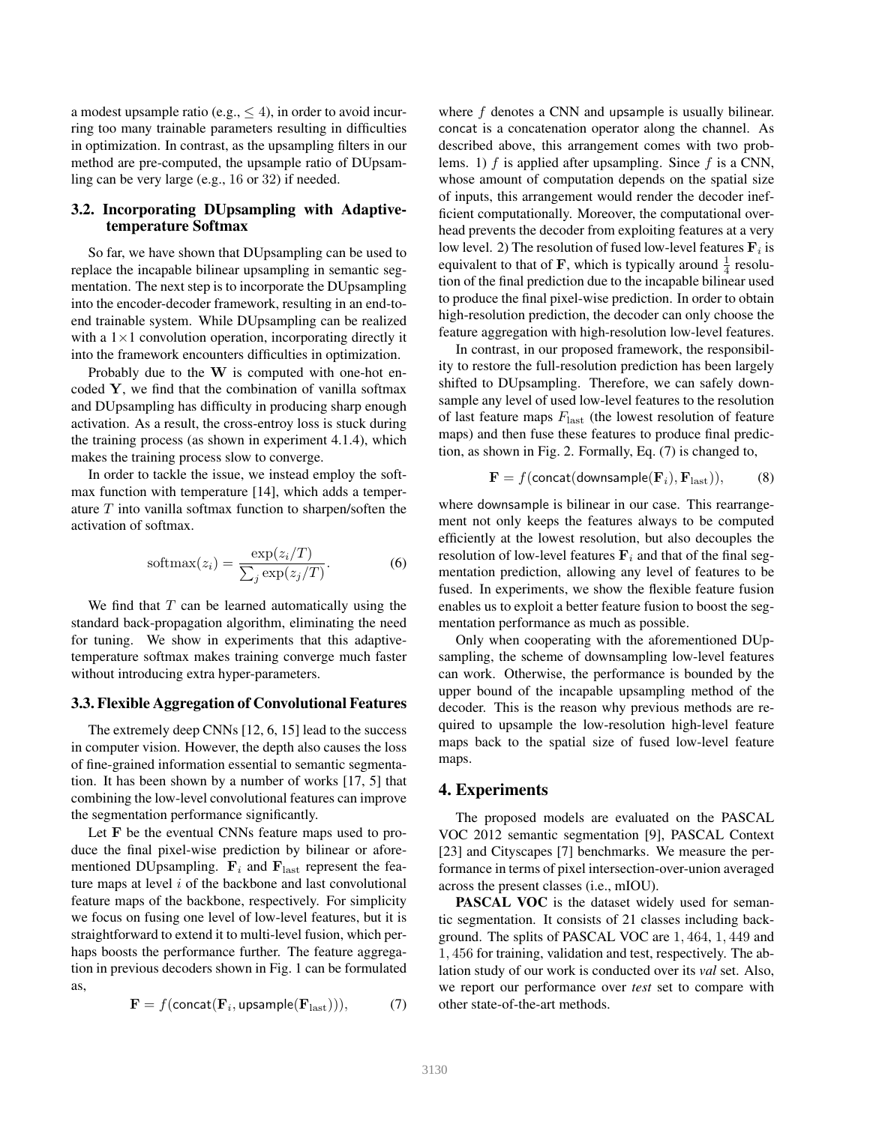a modest upsample ratio (e.g.,  $\leq 4$ ), in order to avoid incurring too many trainable parameters resulting in difficulties in optimization. In contrast, as the upsampling filters in our method are pre-computed, the upsample ratio of DUpsamling can be very large (e.g., 16 or 32) if needed.

# 3.2. Incorporating DUpsampling with Adaptivetemperature Softmax

So far, we have shown that DUpsampling can be used to replace the incapable bilinear upsampling in semantic segmentation. The next step is to incorporate the DUpsampling into the encoder-decoder framework, resulting in an end-toend trainable system. While DUpsampling can be realized with a  $1\times1$  convolution operation, incorporating directly it into the framework encounters difficulties in optimization.

Probably due to the W is computed with one-hot encoded Y, we find that the combination of vanilla softmax and DUpsampling has difficulty in producing sharp enough activation. As a result, the cross-entroy loss is stuck during the training process (as shown in experiment 4.1.4), which makes the training process slow to converge.

In order to tackle the issue, we instead employ the softmax function with temperature [14], which adds a temperature  $T$  into vanilla softmax function to sharpen/soften the activation of softmax.

$$
softmax(z_i) = \frac{\exp(z_i/T)}{\sum_j \exp(z_j/T)}.
$$
 (6)

We find that  $T$  can be learned automatically using the standard back-propagation algorithm, eliminating the need for tuning. We show in experiments that this adaptivetemperature softmax makes training converge much faster without introducing extra hyper-parameters.

## 3.3. Flexible Aggregation of Convolutional Features

The extremely deep CNNs [12, 6, 15] lead to the success in computer vision. However, the depth also causes the loss of fine-grained information essential to semantic segmentation. It has been shown by a number of works [17, 5] that combining the low-level convolutional features can improve the segmentation performance significantly.

Let F be the eventual CNNs feature maps used to produce the final pixel-wise prediction by bilinear or aforementioned DUpsampling.  $\mathbf{F}_i$  and  $\mathbf{F}_{\text{last}}$  represent the feature maps at level  $i$  of the backbone and last convolutional feature maps of the backbone, respectively. For simplicity we focus on fusing one level of low-level features, but it is straightforward to extend it to multi-level fusion, which perhaps boosts the performance further. The feature aggregation in previous decoders shown in Fig. 1 can be formulated as,

$$
\mathbf{F} = f(\text{concat}(\mathbf{F}_i, \text{upsample}(\mathbf{F}_{\text{last}}))), \tag{7}
$$

where f denotes a CNN and upsample is usually bilinear. concat is a concatenation operator along the channel. As described above, this arrangement comes with two problems. 1)  $f$  is applied after upsampling. Since  $f$  is a CNN, whose amount of computation depends on the spatial size of inputs, this arrangement would render the decoder inefficient computationally. Moreover, the computational overhead prevents the decoder from exploiting features at a very low level. 2) The resolution of fused low-level features  $\mathbf{F}_i$  is equivalent to that of F, which is typically around  $\frac{1}{4}$  resolution of the final prediction due to the incapable bilinear used to produce the final pixel-wise prediction. In order to obtain high-resolution prediction, the decoder can only choose the feature aggregation with high-resolution low-level features.

In contrast, in our proposed framework, the responsibility to restore the full-resolution prediction has been largely shifted to DUpsampling. Therefore, we can safely downsample any level of used low-level features to the resolution of last feature maps  $F_{\text{last}}$  (the lowest resolution of feature maps) and then fuse these features to produce final prediction, as shown in Fig. 2. Formally, Eq. (7) is changed to,

$$
\mathbf{F} = f(\text{concat}(downsample(\mathbf{F}_i), \mathbf{F}_{\text{last}})), \quad (8)
$$

where downsample is bilinear in our case. This rearrangement not only keeps the features always to be computed efficiently at the lowest resolution, but also decouples the resolution of low-level features  $\mathbf{F}_i$  and that of the final segmentation prediction, allowing any level of features to be fused. In experiments, we show the flexible feature fusion enables us to exploit a better feature fusion to boost the segmentation performance as much as possible.

Only when cooperating with the aforementioned DUpsampling, the scheme of downsampling low-level features can work. Otherwise, the performance is bounded by the upper bound of the incapable upsampling method of the decoder. This is the reason why previous methods are required to upsample the low-resolution high-level feature maps back to the spatial size of fused low-level feature maps.

## 4. Experiments

The proposed models are evaluated on the PASCAL VOC 2012 semantic segmentation [9], PASCAL Context [23] and Cityscapes [7] benchmarks. We measure the performance in terms of pixel intersection-over-union averaged across the present classes (i.e., mIOU).

**PASCAL VOC** is the dataset widely used for semantic segmentation. It consists of 21 classes including background. The splits of PASCAL VOC are 1, 464, 1, 449 and 1, 456 for training, validation and test, respectively. The ablation study of our work is conducted over its *val* set. Also, we report our performance over *test* set to compare with other state-of-the-art methods.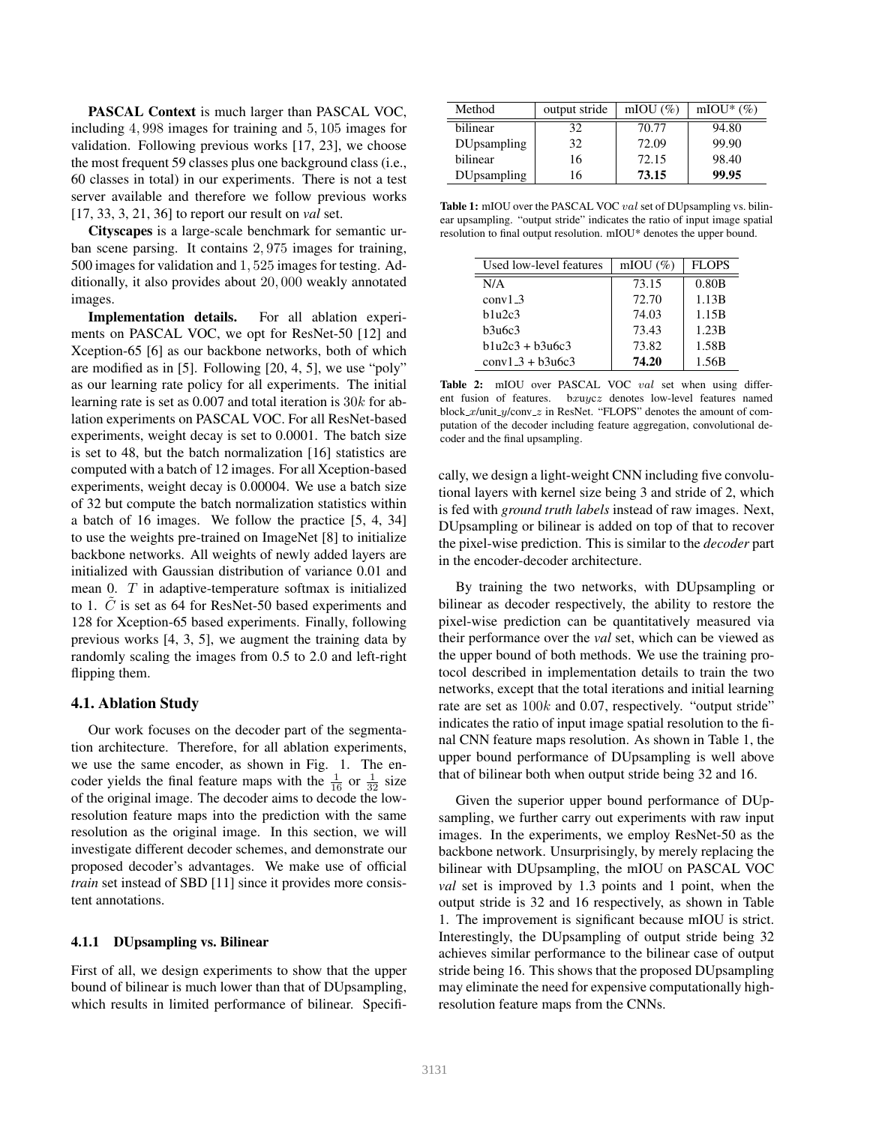PASCAL Context is much larger than PASCAL VOC, including 4, 998 images for training and 5, 105 images for validation. Following previous works [17, 23], we choose the most frequent 59 classes plus one background class (i.e., 60 classes in total) in our experiments. There is not a test server available and therefore we follow previous works [17, 33, 3, 21, 36] to report our result on *val* set.

Cityscapes is a large-scale benchmark for semantic urban scene parsing. It contains 2, 975 images for training, 500 images for validation and 1, 525 images for testing. Additionally, it also provides about 20, 000 weakly annotated images.

Implementation details. For all ablation experiments on PASCAL VOC, we opt for ResNet-50 [12] and Xception-65 [6] as our backbone networks, both of which are modified as in [5]. Following [20, 4, 5], we use "poly" as our learning rate policy for all experiments. The initial learning rate is set as 0.007 and total iteration is 30k for ablation experiments on PASCAL VOC. For all ResNet-based experiments, weight decay is set to 0.0001. The batch size is set to 48, but the batch normalization [16] statistics are computed with a batch of 12 images. For all Xception-based experiments, weight decay is 0.00004. We use a batch size of 32 but compute the batch normalization statistics within a batch of 16 images. We follow the practice [5, 4, 34] to use the weights pre-trained on ImageNet [8] to initialize backbone networks. All weights of newly added layers are initialized with Gaussian distribution of variance 0.01 and mean 0. T in adaptive-temperature softmax is initialized to 1.  $C$  is set as 64 for ResNet-50 based experiments and 128 for Xception-65 based experiments. Finally, following previous works [4, 3, 5], we augment the training data by randomly scaling the images from 0.5 to 2.0 and left-right flipping them.

#### 4.1. Ablation Study

Our work focuses on the decoder part of the segmentation architecture. Therefore, for all ablation experiments, we use the same encoder, as shown in Fig. 1. The encoder yields the final feature maps with the  $\frac{1}{16}$  or  $\frac{1}{32}$  size of the original image. The decoder aims to decode the lowresolution feature maps into the prediction with the same resolution as the original image. In this section, we will investigate different decoder schemes, and demonstrate our proposed decoder's advantages. We make use of official *train* set instead of SBD [11] since it provides more consistent annotations.

#### 4.1.1 DUpsampling vs. Bilinear

First of all, we design experiments to show that the upper bound of bilinear is much lower than that of DUpsampling, which results in limited performance of bilinear. Specifi-

| Method             | output stride | mIOU $(\%)$ | mIOU* $(\%)$ |
|--------------------|---------------|-------------|--------------|
| bilinear           | 32            | 70.77       | 94.80        |
| <b>DUpsampling</b> | 32            | 72.09       | 99.90        |
| bilinear           | 16            | 72.15       | 98.40        |
| <b>DUpsampling</b> | 16            | 73.15       | 99.95        |

Table 1: mIOU over the PASCAL VOC val set of DUpsampling vs. bilinear upsampling. "output stride" indicates the ratio of input image spatial resolution to final output resolution. mIOU\* denotes the upper bound.

| Used low-level features | mIOU $(\%)$ | <b>FLOPS</b> |
|-------------------------|-------------|--------------|
| N/A                     | 73.15       | 0.80B        |
| conv13                  | 72.70       | 1.13B        |
| h1u2c3                  | 74.03       | 1.15B        |
| b3u6c3                  | 73.43       | 1.23B        |
| $b1u2c3 + b3u6c3$       | 73.82       | 1.58B        |
| $conv1 \; 3 + b3u6c3$   | 74.20       | 1.56B        |

Table 2: mIOU over PASCAL VOC val set when using different fusion of features. bxuycz denotes low-level features named block  $x$ /unit  $y$ /conv  $z$  in ResNet. "FLOPS" denotes the amount of computation of the decoder including feature aggregation, convolutional decoder and the final upsampling.

cally, we design a light-weight CNN including five convolutional layers with kernel size being 3 and stride of 2, which is fed with *ground truth labels* instead of raw images. Next, DUpsampling or bilinear is added on top of that to recover the pixel-wise prediction. This is similar to the *decoder* part in the encoder-decoder architecture.

By training the two networks, with DUpsampling or bilinear as decoder respectively, the ability to restore the pixel-wise prediction can be quantitatively measured via their performance over the *val* set, which can be viewed as the upper bound of both methods. We use the training protocol described in implementation details to train the two networks, except that the total iterations and initial learning rate are set as  $100k$  and 0.07, respectively. "output stride" indicates the ratio of input image spatial resolution to the final CNN feature maps resolution. As shown in Table 1, the upper bound performance of DUpsampling is well above that of bilinear both when output stride being 32 and 16.

Given the superior upper bound performance of DUpsampling, we further carry out experiments with raw input images. In the experiments, we employ ResNet-50 as the backbone network. Unsurprisingly, by merely replacing the bilinear with DUpsampling, the mIOU on PASCAL VOC *val* set is improved by 1.3 points and 1 point, when the output stride is 32 and 16 respectively, as shown in Table 1. The improvement is significant because mIOU is strict. Interestingly, the DUpsampling of output stride being 32 achieves similar performance to the bilinear case of output stride being 16. This shows that the proposed DUpsampling may eliminate the need for expensive computationally highresolution feature maps from the CNNs.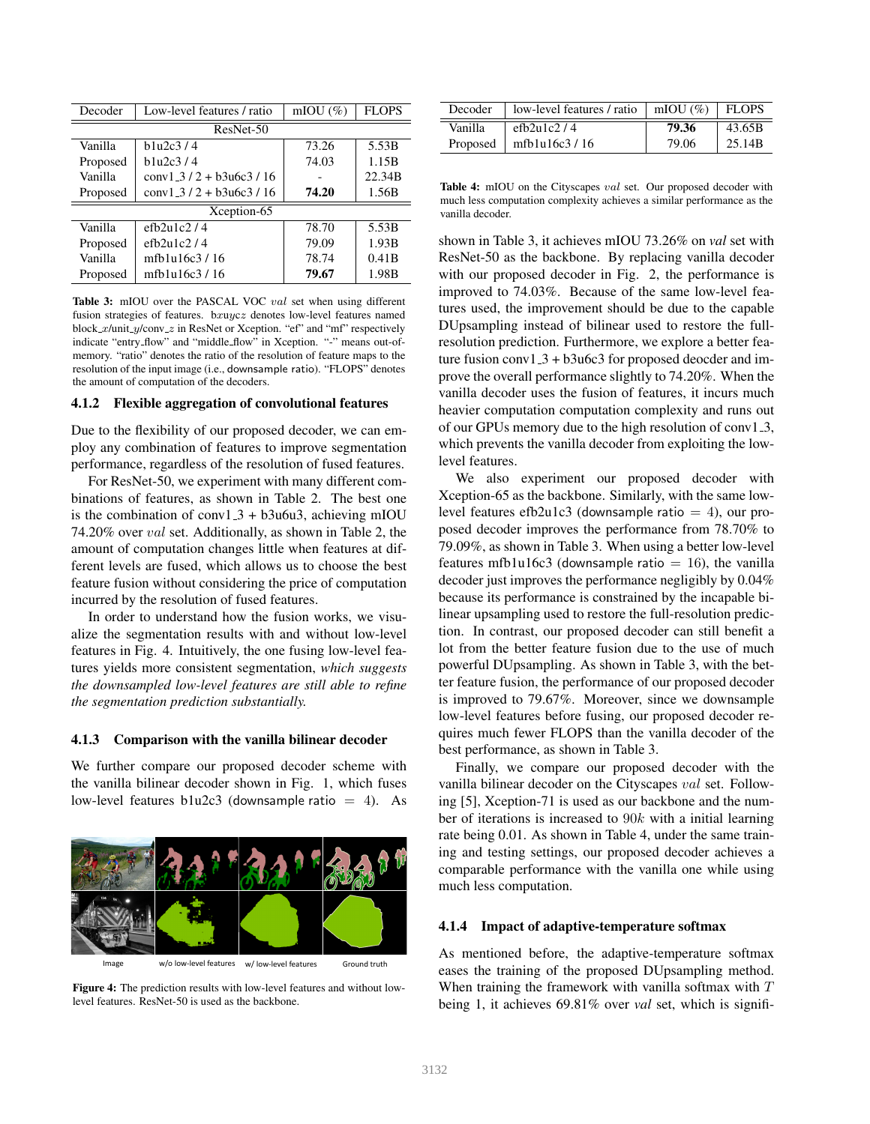| Decoder   | Low-level features / ratio  | mIOU $(\%)$ | <b>FLOPS</b> |  |
|-----------|-----------------------------|-------------|--------------|--|
| ResNet-50 |                             |             |              |  |
| Vanilla   | h1u2c3/4                    | 73.26       | 5.53B        |  |
| Proposed  | h1u2c3/4                    | 74.03       | 1.15B        |  |
| Vanilla   | $conv1_3$ / 2 + b3u6c3 / 16 |             | 22.34B       |  |
| Proposed  | $conv1_3$ / 2 + b3u6c3 / 16 | 74.20       | 1.56B        |  |
|           | Xception-65                 |             |              |  |
| Vanilla   | efb2u1c2/4                  | 78.70       | 5.53B        |  |
| Proposed  | efb2u1c2/4                  | 79.09       | 1.93B        |  |
| Vanilla   | mfb1u16c3/16                | 78.74       | 0.41B        |  |
| Proposed  | mfb1u16c3/16                | 79.67       | 1.98B        |  |
|           |                             |             |              |  |

Table 3: mIOU over the PASCAL VOC val set when using different fusion strategies of features. bxuycz denotes low-level features named block  $x$ /unit  $y$ /conv  $z$  in ResNet or Xception. "ef" and "mf" respectively indicate "entry flow" and "middle flow" in Xception. "-" means out-ofmemory. "ratio" denotes the ratio of the resolution of feature maps to the resolution of the input image (i.e., downsample ratio). "FLOPS" denotes the amount of computation of the decoders.

## 4.1.2 Flexible aggregation of convolutional features

Due to the flexibility of our proposed decoder, we can employ any combination of features to improve segmentation performance, regardless of the resolution of fused features.

For ResNet-50, we experiment with many different combinations of features, as shown in Table 2. The best one is the combination of conv1.3 + b3u6u3, achieving mIOU 74.20% over val set. Additionally, as shown in Table 2, the amount of computation changes little when features at different levels are fused, which allows us to choose the best feature fusion without considering the price of computation incurred by the resolution of fused features.

In order to understand how the fusion works, we visualize the segmentation results with and without low-level features in Fig. 4. Intuitively, the one fusing low-level features yields more consistent segmentation, *which suggests the downsampled low-level features are still able to refine the segmentation prediction substantially.*

#### 4.1.3 Comparison with the vanilla bilinear decoder

We further compare our proposed decoder scheme with the vanilla bilinear decoder shown in Fig. 1, which fuses low-level features b1u2c3 (downsample ratio  $= 4$ ). As



Figure 4: The prediction results with low-level features and without lowlevel features. ResNet-50 is used as the backbone.

| Decoder | low-level features / ratio $\parallel$ mIOU $(\%)$ |       | ∣ FLOPS |
|---------|----------------------------------------------------|-------|---------|
| Vanilla | efb $2$ ulc $2/4$                                  | 79.36 | 43.65B  |
|         | Proposed   mfb1u16c3 / 16                          | 79.06 | 25.14B  |

Table 4: mIOU on the Cityscapes val set. Our proposed decoder with much less computation complexity achieves a similar performance as the vanilla decoder.

shown in Table 3, it achieves mIOU 73.26% on *val* set with ResNet-50 as the backbone. By replacing vanilla decoder with our proposed decoder in Fig. 2, the performance is improved to 74.03%. Because of the same low-level features used, the improvement should be due to the capable DUpsampling instead of bilinear used to restore the fullresolution prediction. Furthermore, we explore a better feature fusion conv1.3 +  $b3u6c3$  for proposed deocder and improve the overall performance slightly to 74.20%. When the vanilla decoder uses the fusion of features, it incurs much heavier computation computation complexity and runs out of our GPUs memory due to the high resolution of conv1 3, which prevents the vanilla decoder from exploiting the lowlevel features.

We also experiment our proposed decoder with Xception-65 as the backbone. Similarly, with the same lowlevel features efb2u1c3 (downsample ratio  $= 4$ ), our proposed decoder improves the performance from 78.70% to 79.09%, as shown in Table 3. When using a better low-level features mfb1u16c3 (downsample ratio  $= 16$ ), the vanilla decoder just improves the performance negligibly by 0.04% because its performance is constrained by the incapable bilinear upsampling used to restore the full-resolution prediction. In contrast, our proposed decoder can still benefit a lot from the better feature fusion due to the use of much powerful DUpsampling. As shown in Table 3, with the better feature fusion, the performance of our proposed decoder is improved to 79.67%. Moreover, since we downsample low-level features before fusing, our proposed decoder requires much fewer FLOPS than the vanilla decoder of the best performance, as shown in Table 3.

Finally, we compare our proposed decoder with the vanilla bilinear decoder on the Cityscapes val set. Following [5], Xception-71 is used as our backbone and the number of iterations is increased to  $90k$  with a initial learning rate being 0.01. As shown in Table 4, under the same training and testing settings, our proposed decoder achieves a comparable performance with the vanilla one while using much less computation.

#### 4.1.4 Impact of adaptive-temperature softmax

As mentioned before, the adaptive-temperature softmax eases the training of the proposed DUpsampling method. When training the framework with vanilla softmax with  $T$ being 1, it achieves 69.81% over *val* set, which is signifi-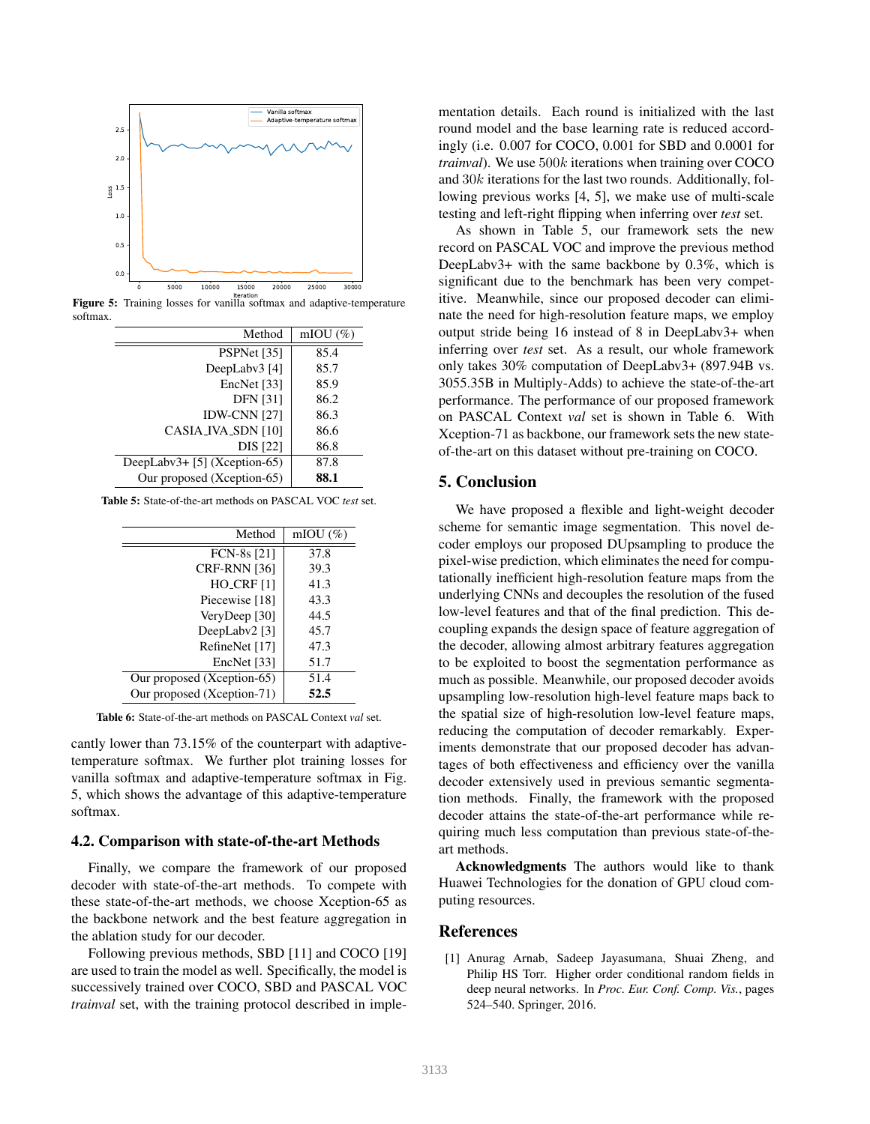

**Figure 5:** Training losses for vanilla softmax and adaptive-temperature softmax.

| Method                       | mIOU $(\%)$ |
|------------------------------|-------------|
| PSPNet [35]                  | 85.4        |
| DeepLabv3 [4]                | 85.7        |
| EncNet [33]                  | 85.9        |
| <b>DFN</b> [31]              | 86.2        |
| <b>IDW-CNN [27]</b>          | 86.3        |
| CASIA_IVA_SDN [10]           | 86.6        |
| <b>DIS</b> [22]              | 86.8        |
| DeepLabv3+ [5] (Xception-65) | 87.8        |
| Our proposed (Xception-65)   | 88.1        |

Table 5: State-of-the-art methods on PASCAL VOC *test* set.

| Method                     | mIOU $(\%)$ |
|----------------------------|-------------|
| FCN-8s [21]                | 37.8        |
| CRF-RNN [36]               | 39.3        |
| $HO_CRF[1]$                | 41.3        |
| Piecewise [18]             | 43.3        |
| VeryDeep [30]              | 44.5        |
| DeepLabv2 [3]              | 45.7        |
| RefineNet [17]             | 47.3        |
| EncNet [33]                | 51.7        |
| Our proposed (Xception-65) | 51.4        |
| Our proposed (Xception-71) | 52.5        |

Table 6: State-of-the-art methods on PASCAL Context *val* set.

cantly lower than 73.15% of the counterpart with adaptivetemperature softmax. We further plot training losses for vanilla softmax and adaptive-temperature softmax in Fig. 5, which shows the advantage of this adaptive-temperature softmax.

#### 4.2. Comparison with state-of-the-art Methods

Finally, we compare the framework of our proposed decoder with state-of-the-art methods. To compete with these state-of-the-art methods, we choose Xception-65 as the backbone network and the best feature aggregation in the ablation study for our decoder.

Following previous methods, SBD [11] and COCO [19] are used to train the model as well. Specifically, the model is successively trained over COCO, SBD and PASCAL VOC *trainval* set, with the training protocol described in implementation details. Each round is initialized with the last round model and the base learning rate is reduced accordingly (i.e. 0.007 for COCO, 0.001 for SBD and 0.0001 for *trainval*). We use 500k iterations when training over COCO and 30k iterations for the last two rounds. Additionally, following previous works [4, 5], we make use of multi-scale testing and left-right flipping when inferring over *test* set.

As shown in Table 5, our framework sets the new record on PASCAL VOC and improve the previous method DeepLabv3+ with the same backbone by 0.3%, which is significant due to the benchmark has been very competitive. Meanwhile, since our proposed decoder can eliminate the need for high-resolution feature maps, we employ output stride being 16 instead of 8 in DeepLabv3+ when inferring over *test* set. As a result, our whole framework only takes 30% computation of DeepLabv3+ (897.94B vs. 3055.35B in Multiply-Adds) to achieve the state-of-the-art performance. The performance of our proposed framework on PASCAL Context *val* set is shown in Table 6. With Xception-71 as backbone, our framework sets the new stateof-the-art on this dataset without pre-training on COCO.

# 5. Conclusion

We have proposed a flexible and light-weight decoder scheme for semantic image segmentation. This novel decoder employs our proposed DUpsampling to produce the pixel-wise prediction, which eliminates the need for computationally inefficient high-resolution feature maps from the underlying CNNs and decouples the resolution of the fused low-level features and that of the final prediction. This decoupling expands the design space of feature aggregation of the decoder, allowing almost arbitrary features aggregation to be exploited to boost the segmentation performance as much as possible. Meanwhile, our proposed decoder avoids upsampling low-resolution high-level feature maps back to the spatial size of high-resolution low-level feature maps, reducing the computation of decoder remarkably. Experiments demonstrate that our proposed decoder has advantages of both effectiveness and efficiency over the vanilla decoder extensively used in previous semantic segmentation methods. Finally, the framework with the proposed decoder attains the state-of-the-art performance while requiring much less computation than previous state-of-theart methods.

Acknowledgments The authors would like to thank Huawei Technologies for the donation of GPU cloud computing resources.

# References

[1] Anurag Arnab, Sadeep Jayasumana, Shuai Zheng, and Philip HS Torr. Higher order conditional random fields in deep neural networks. In *Proc. Eur. Conf. Comp. Vis.*, pages 524–540. Springer, 2016.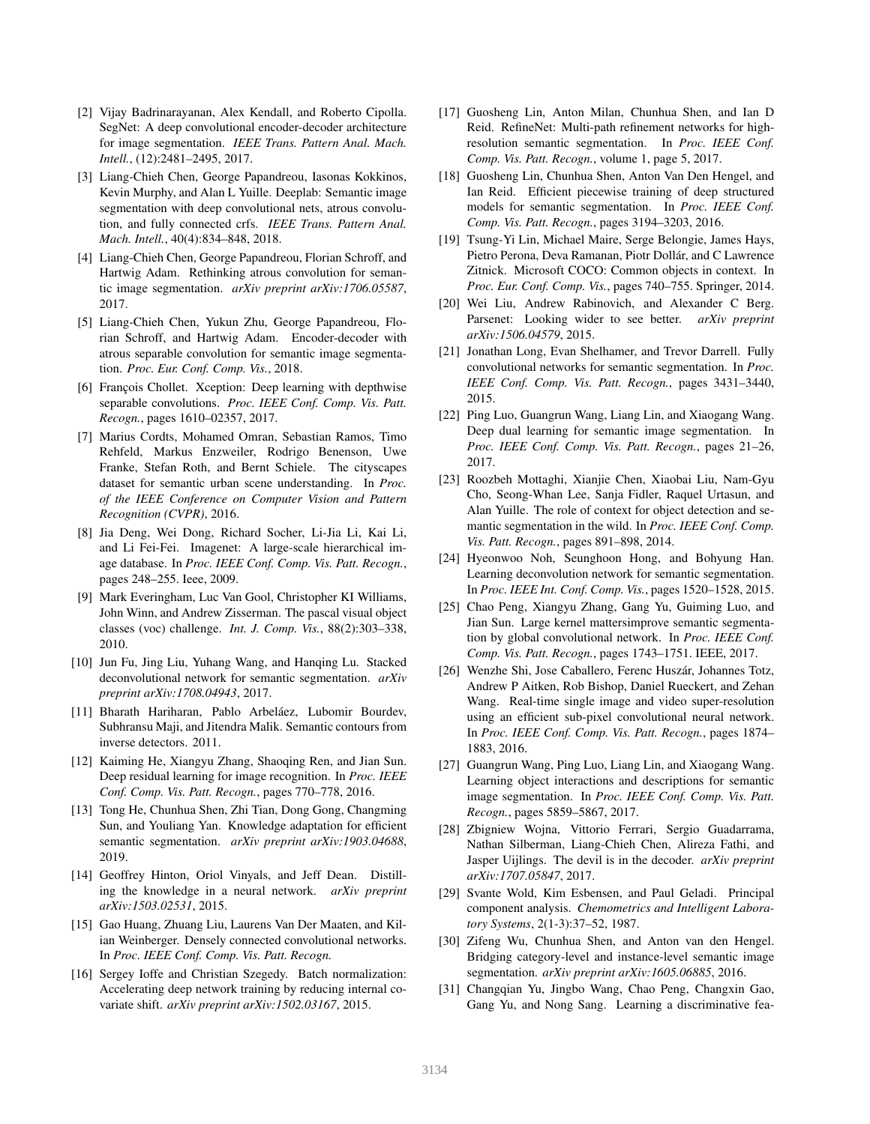- [2] Vijay Badrinarayanan, Alex Kendall, and Roberto Cipolla. SegNet: A deep convolutional encoder-decoder architecture for image segmentation. *IEEE Trans. Pattern Anal. Mach. Intell.*, (12):2481–2495, 2017.
- [3] Liang-Chieh Chen, George Papandreou, Iasonas Kokkinos, Kevin Murphy, and Alan L Yuille. Deeplab: Semantic image segmentation with deep convolutional nets, atrous convolution, and fully connected crfs. *IEEE Trans. Pattern Anal. Mach. Intell.*, 40(4):834–848, 2018.
- [4] Liang-Chieh Chen, George Papandreou, Florian Schroff, and Hartwig Adam. Rethinking atrous convolution for semantic image segmentation. *arXiv preprint arXiv:1706.05587*, 2017.
- [5] Liang-Chieh Chen, Yukun Zhu, George Papandreou, Florian Schroff, and Hartwig Adam. Encoder-decoder with atrous separable convolution for semantic image segmentation. *Proc. Eur. Conf. Comp. Vis.*, 2018.
- [6] François Chollet. Xception: Deep learning with depthwise separable convolutions. *Proc. IEEE Conf. Comp. Vis. Patt. Recogn.*, pages 1610–02357, 2017.
- [7] Marius Cordts, Mohamed Omran, Sebastian Ramos, Timo Rehfeld, Markus Enzweiler, Rodrigo Benenson, Uwe Franke, Stefan Roth, and Bernt Schiele. The cityscapes dataset for semantic urban scene understanding. In *Proc. of the IEEE Conference on Computer Vision and Pattern Recognition (CVPR)*, 2016.
- [8] Jia Deng, Wei Dong, Richard Socher, Li-Jia Li, Kai Li, and Li Fei-Fei. Imagenet: A large-scale hierarchical image database. In *Proc. IEEE Conf. Comp. Vis. Patt. Recogn.*, pages 248–255. Ieee, 2009.
- [9] Mark Everingham, Luc Van Gool, Christopher KI Williams, John Winn, and Andrew Zisserman. The pascal visual object classes (voc) challenge. *Int. J. Comp. Vis.*, 88(2):303–338, 2010.
- [10] Jun Fu, Jing Liu, Yuhang Wang, and Hanqing Lu. Stacked deconvolutional network for semantic segmentation. *arXiv preprint arXiv:1708.04943*, 2017.
- [11] Bharath Hariharan, Pablo Arbeláez, Lubomir Bourdev, Subhransu Maji, and Jitendra Malik. Semantic contours from inverse detectors. 2011.
- [12] Kaiming He, Xiangyu Zhang, Shaoqing Ren, and Jian Sun. Deep residual learning for image recognition. In *Proc. IEEE Conf. Comp. Vis. Patt. Recogn.*, pages 770–778, 2016.
- [13] Tong He, Chunhua Shen, Zhi Tian, Dong Gong, Changming Sun, and Youliang Yan. Knowledge adaptation for efficient semantic segmentation. *arXiv preprint arXiv:1903.04688*, 2019.
- [14] Geoffrey Hinton, Oriol Vinyals, and Jeff Dean. Distilling the knowledge in a neural network. *arXiv preprint arXiv:1503.02531*, 2015.
- [15] Gao Huang, Zhuang Liu, Laurens Van Der Maaten, and Kilian Weinberger. Densely connected convolutional networks. In *Proc. IEEE Conf. Comp. Vis. Patt. Recogn.*
- [16] Sergey Ioffe and Christian Szegedy. Batch normalization: Accelerating deep network training by reducing internal covariate shift. *arXiv preprint arXiv:1502.03167*, 2015.
- [17] Guosheng Lin, Anton Milan, Chunhua Shen, and Ian D Reid. RefineNet: Multi-path refinement networks for highresolution semantic segmentation. In *Proc. IEEE Conf. Comp. Vis. Patt. Recogn.*, volume 1, page 5, 2017.
- [18] Guosheng Lin, Chunhua Shen, Anton Van Den Hengel, and Ian Reid. Efficient piecewise training of deep structured models for semantic segmentation. In *Proc. IEEE Conf. Comp. Vis. Patt. Recogn.*, pages 3194–3203, 2016.
- [19] Tsung-Yi Lin, Michael Maire, Serge Belongie, James Hays, Pietro Perona, Deva Ramanan, Piotr Dollár, and C Lawrence Zitnick. Microsoft COCO: Common objects in context. In *Proc. Eur. Conf. Comp. Vis.*, pages 740–755. Springer, 2014.
- [20] Wei Liu, Andrew Rabinovich, and Alexander C Berg. Parsenet: Looking wider to see better. *arXiv preprint arXiv:1506.04579*, 2015.
- [21] Jonathan Long, Evan Shelhamer, and Trevor Darrell. Fully convolutional networks for semantic segmentation. In *Proc. IEEE Conf. Comp. Vis. Patt. Recogn.*, pages 3431–3440, 2015.
- [22] Ping Luo, Guangrun Wang, Liang Lin, and Xiaogang Wang. Deep dual learning for semantic image segmentation. In *Proc. IEEE Conf. Comp. Vis. Patt. Recogn.*, pages 21–26, 2017.
- [23] Roozbeh Mottaghi, Xianjie Chen, Xiaobai Liu, Nam-Gyu Cho, Seong-Whan Lee, Sanja Fidler, Raquel Urtasun, and Alan Yuille. The role of context for object detection and semantic segmentation in the wild. In *Proc. IEEE Conf. Comp. Vis. Patt. Recogn.*, pages 891–898, 2014.
- [24] Hyeonwoo Noh, Seunghoon Hong, and Bohyung Han. Learning deconvolution network for semantic segmentation. In *Proc. IEEE Int. Conf. Comp. Vis.*, pages 1520–1528, 2015.
- [25] Chao Peng, Xiangyu Zhang, Gang Yu, Guiming Luo, and Jian Sun. Large kernel mattersimprove semantic segmentation by global convolutional network. In *Proc. IEEE Conf. Comp. Vis. Patt. Recogn.*, pages 1743–1751. IEEE, 2017.
- [26] Wenzhe Shi, Jose Caballero, Ferenc Huszár, Johannes Totz, Andrew P Aitken, Rob Bishop, Daniel Rueckert, and Zehan Wang. Real-time single image and video super-resolution using an efficient sub-pixel convolutional neural network. In *Proc. IEEE Conf. Comp. Vis. Patt. Recogn.*, pages 1874– 1883, 2016.
- [27] Guangrun Wang, Ping Luo, Liang Lin, and Xiaogang Wang. Learning object interactions and descriptions for semantic image segmentation. In *Proc. IEEE Conf. Comp. Vis. Patt. Recogn.*, pages 5859–5867, 2017.
- [28] Zbigniew Wojna, Vittorio Ferrari, Sergio Guadarrama, Nathan Silberman, Liang-Chieh Chen, Alireza Fathi, and Jasper Uijlings. The devil is in the decoder. *arXiv preprint arXiv:1707.05847*, 2017.
- [29] Svante Wold, Kim Esbensen, and Paul Geladi. Principal component analysis. *Chemometrics and Intelligent Laboratory Systems*, 2(1-3):37–52, 1987.
- [30] Zifeng Wu, Chunhua Shen, and Anton van den Hengel. Bridging category-level and instance-level semantic image segmentation. *arXiv preprint arXiv:1605.06885*, 2016.
- [31] Changqian Yu, Jingbo Wang, Chao Peng, Changxin Gao, Gang Yu, and Nong Sang. Learning a discriminative fea-